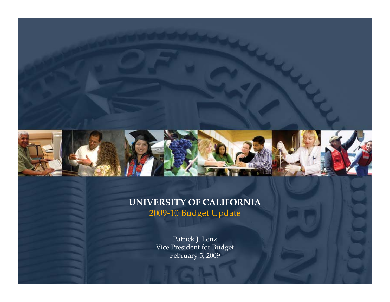

#### **UNIVERSITY OF CALIFORNIA** 2009‐10 Budget Update

Patrick J. Lenz Vice President for Budget February 5, 2009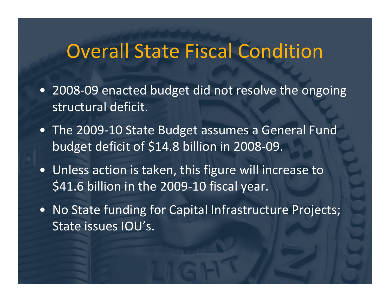## Overall State Fiscal Condition

- 2008‐09 enacted budget did not resolve the ongoing structural deficit.
- The 2009‐10 State Budget assumes <sup>a</sup> General Fund budget deficit of \$14.8 billion in 2008‐09.
- Unless action is taken, this figure will increase to \$41.6 billion in the 2009-10 fiscal year.
- No State funding for Capital Infrastructure Projects; State issues IOU's.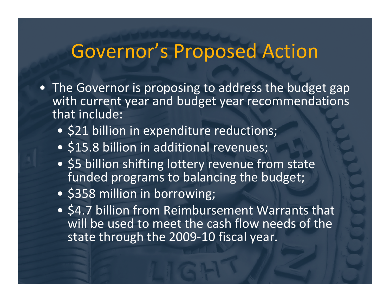## Governor's Proposed Action

- The Governor is proposing to address the budget gap with current year and budget year recommendations that include:
	- \$21 billion in expenditure reductions;
	- \$15.8 billion in additional revenues;
	- \$5 billion shifting lottery revenue from state funded programs to balancing the budget;
	- \$358 million in borrowing;
	- \$4.7 billion from Reimbursement Warrants that will be used to meet the cash flow needs of the state through the 2009‐10 fiscal year.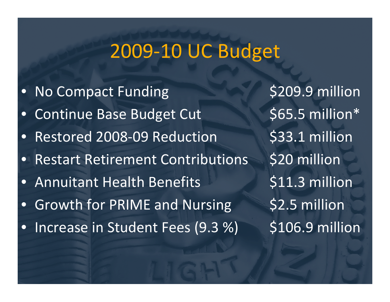# 2009‐10 UC Budget

 $\bullet$ • No Compact Funding \$209.9 million  $\bullet$ • Continue Base Budget Cut \$65.5 million\*  $\bullet$ • Restored 2008-09 Reduction \$33.1 million  $\bullet$ Restart Retirement Contributions \$20 million  $\bullet$  Annuitant Health $\bullet$ • Growth for PRIME and Nursing \$2.5 million  $\bullet$ • Increase in Student Fees (9.3 %) \$106.9 million

\$11.3 million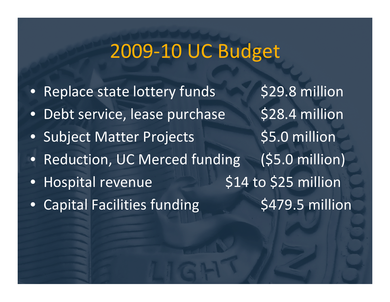## 2009‐10 UC Budget

 $\bullet$ Replace state lottery funds \$29.8 million •Debt service, lease purchase \$28.4 million  $\bullet$ Subject Matter Projects \$5.0 million  $\bullet$  Reduction, UC Merced funding (\$5.0 million)  $\bullet$ Hospital revenue 514 to \$25 million  $\bullet$ Capital Facilities funding 5479.5 million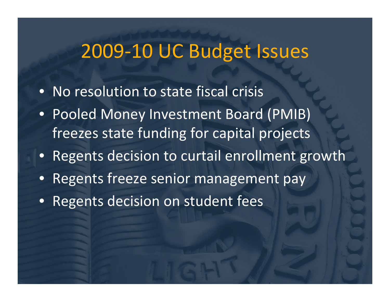## 2009‐10 UC Budget Issues

- No resolution to state fiscal crisis
- Pooled Money Investment Board (PMIB) freezes state funding for capital projects
- Regents decision to curtail enrollment growth
- •Regents freeze senior management pay
- Regents decision on student fees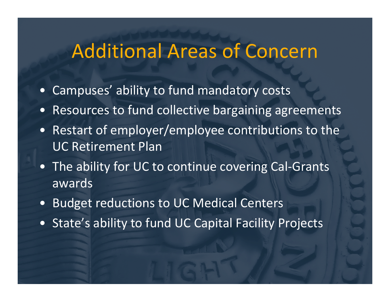## Additional Areas of Concern

- •Campuses' ability to fund mandatory costs
- •Resources to fund collective bargaining agreements
- Restart of employer/employee contributions to the UC Retirement Plan
- The ability for UC to continue covering Cal‐Grants awards
- •Budget reductions to UC Medical Centers
- State's ability to fund UC Capital Facility Projects